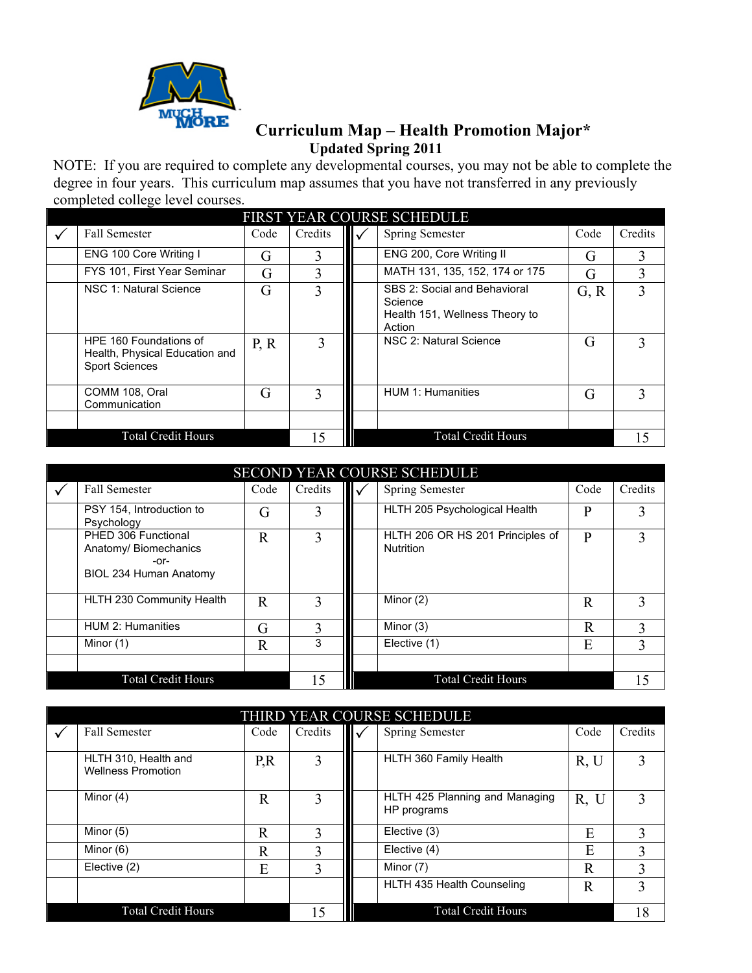

## **Curriculum Map – Health Promotion Major\* Updated Spring 2011**

NOTE: If you are required to complete any developmental courses, you may not be able to complete the degree in four years. This curriculum map assumes that you have not transferred in any previously completed college level courses.

| FIRST YEAR COURSE SCHEDULE |                                                                                   |      |         |  |                                                                                     |      |         |  |  |
|----------------------------|-----------------------------------------------------------------------------------|------|---------|--|-------------------------------------------------------------------------------------|------|---------|--|--|
|                            | <b>Fall Semester</b>                                                              | Code | Credits |  | <b>Spring Semester</b>                                                              | Code | Credits |  |  |
|                            | ENG 100 Core Writing I                                                            | G    | 3       |  | ENG 200, Core Writing II                                                            | G    |         |  |  |
|                            | FYS 101, First Year Seminar                                                       | G    | 3       |  | MATH 131, 135, 152, 174 or 175                                                      | G    |         |  |  |
|                            | NSC 1: Natural Science                                                            | G    | 3       |  | SBS 2: Social and Behavioral<br>Science<br>Health 151, Wellness Theory to<br>Action | G, R |         |  |  |
|                            | HPE 160 Foundations of<br>Health, Physical Education and<br><b>Sport Sciences</b> | P, R |         |  | NSC 2: Natural Science                                                              | G    |         |  |  |
|                            | COMM 108, Oral<br>Communication                                                   | G    | 3       |  | <b>HUM 1: Humanities</b>                                                            | G    | 3       |  |  |
|                            |                                                                                   |      |         |  |                                                                                     |      |         |  |  |
| <b>Total Credit Hours</b>  |                                                                                   |      |         |  | <b>Total Credit Hours</b>                                                           |      |         |  |  |

| <b>SECOND YEAR COURSE SCHEDULE</b> |                                                                                |             |              |                          |                                               |      |         |  |
|------------------------------------|--------------------------------------------------------------------------------|-------------|--------------|--------------------------|-----------------------------------------------|------|---------|--|
|                                    | <b>Fall Semester</b>                                                           | Code        | Credits      | $\mathbf{II} \mathbf{v}$ | <b>Spring Semester</b>                        | Code | Credits |  |
|                                    | PSY 154, Introduction to<br>Psychology                                         | G           | 3            |                          | HLTH 205 Psychological Health                 | P    |         |  |
|                                    | PHED 306 Functional<br>Anatomy/ Biomechanics<br>-or-<br>BIOL 234 Human Anatomy | $\mathbf R$ | 3            |                          | HLTH 206 OR HS 201 Principles of<br>Nutrition | P    |         |  |
|                                    | HLTH 230 Community Health                                                      | R           | 3            |                          | Minor (2)                                     | R    | 3       |  |
|                                    | <b>HUM 2: Humanities</b>                                                       | G           | $\mathbf{3}$ |                          | Minor (3)                                     | R    |         |  |
|                                    | Minor (1)                                                                      | R           | 3            |                          | Elective (1)                                  | E    | 3       |  |
|                                    |                                                                                |             |              |                          |                                               |      |         |  |
|                                    | <b>Total Credit Hours</b>                                                      |             | 15           |                          | <b>Total Credit Hours</b>                     |      | 15      |  |

| THIRD YEAR COURSE SCHEDULE |                                                   |              |              |  |                                               |      |         |  |  |
|----------------------------|---------------------------------------------------|--------------|--------------|--|-----------------------------------------------|------|---------|--|--|
|                            | <b>Fall Semester</b>                              | Code         | Credits      |  | Spring Semester                               | Code | Credits |  |  |
|                            |                                                   |              |              |  |                                               |      |         |  |  |
|                            | HLTH 310, Health and<br><b>Wellness Promotion</b> | P, R         |              |  | HLTH 360 Family Health                        | R, U |         |  |  |
|                            | Minor (4)                                         | $\mathbb{R}$ |              |  | HLTH 425 Planning and Managing<br>HP programs | R, U |         |  |  |
|                            | Minor (5)                                         | R            |              |  | Elective (3)                                  | E    |         |  |  |
|                            | Minor (6)                                         | R            | $\mathbf{3}$ |  | Elective (4)                                  | E    |         |  |  |
|                            | Elective (2)                                      | E            | 3            |  | Minor (7)                                     | R    |         |  |  |
|                            |                                                   |              |              |  | HLTH 435 Health Counseling                    | R    |         |  |  |
|                            | <b>Total Credit Hours</b>                         |              | 15           |  | <b>Total Credit Hours</b>                     |      | 18      |  |  |